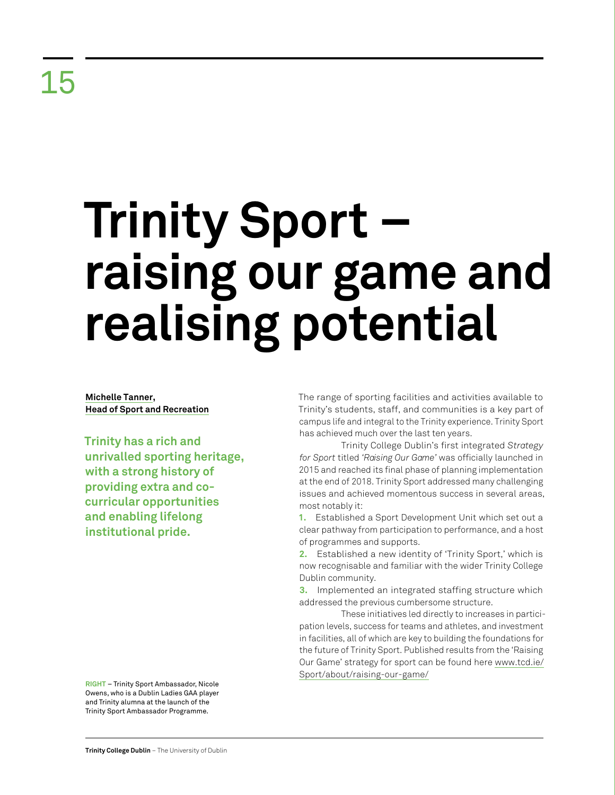# **Trinity Sport – raising our game and realising potential**

**Michelle Tanner, Head of Sport and Recreation**

**Trinity has a rich and unrivalled sporting heritage, with a strong history of providing extra and cocurricular opportunities and enabling lifelong institutional pride.** 

The range of sporting facilities and activities available to Trinity's students, staff, and communities is a key part of campus life and integral to the Trinity experience. Trinity Sport has achieved much over the last ten years.

Trinity College Dublin's first integrated *Strategy for Sport* titled *'Raising Our Game'* was officially launched in 2015 and reached its final phase of planning implementation at the end of 2018. Trinity Sport addressed many challenging issues and achieved momentous success in several areas, most notably it:

**1.** Established a Sport Development Unit which set out a clear pathway from participation to performance, and a host of programmes and supports.

**2.** Established a new identity of 'Trinity Sport,' which is now recognisable and familiar with the wider Trinity College Dublin community.

**3.** Implemented an integrated staffing structure which addressed the previous cumbersome structure.

These initiatives led directly to increases in participation levels, success for teams and athletes, and investment in facilities, all of which are key to building the foundations for the future of Trinity Sport. Published results from the 'Raising Our Game' strategy for sport can be found here [www.tcd.ie/](www.tcd.ie/Sport/about/raising-our-game/) [Sport/about/raising-our-game/](www.tcd.ie/Sport/about/raising-our-game/)

**RIGHT** – Trinity Sport Ambassador, Nicole Owens, who is a Dublin Ladies GAA player and Trinity alumna at the launch of the Trinity Sport Ambassador Programme.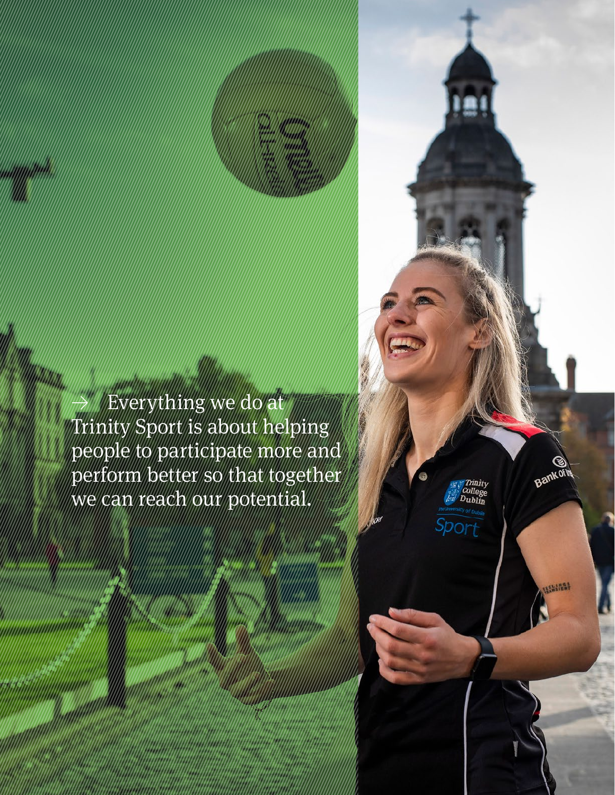≥ Everything we do at Trinity Sport is about helping people to participate more and perform better so that together we can reach our potential.

**Retrospective Review** 2011–21 108 | 109

**Bankofils** 

**ARRESTS** 

*Thinity*<br>College<br>Dublin

Sport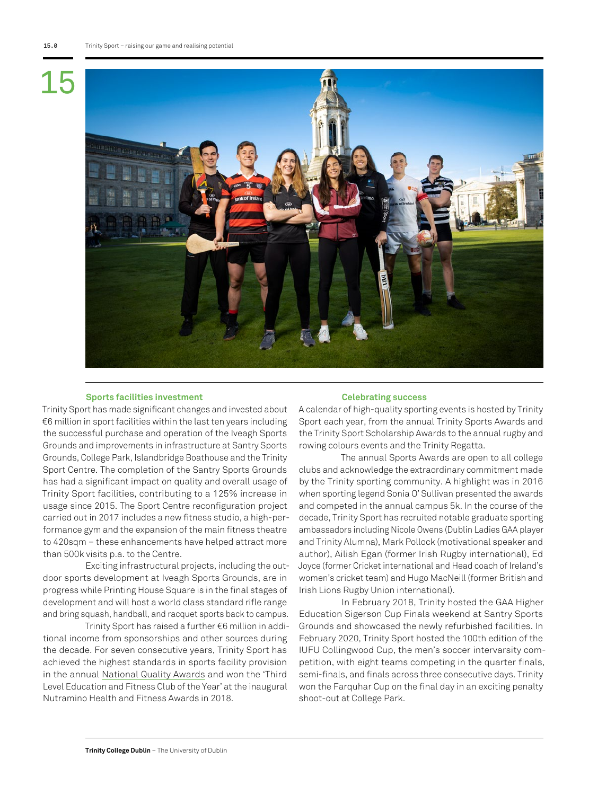## 15



### **Sports facilities investment**

### **Celebrating success**

Trinity Sport has made significant changes and invested about €6 million in sport facilities within the last ten years including the successful purchase and operation of the Iveagh Sports Grounds and improvements in infrastructure at Santry Sports Grounds, College Park, Islandbridge Boathouse and the Trinity Sport Centre. The completion of the Santry Sports Grounds has had a significant impact on quality and overall usage of Trinity Sport facilities, contributing to a 125% increase in usage since 2015. The Sport Centre reconfiguration project carried out in 2017 includes a new fitness studio, a high-performance gym and the expansion of the main fitness theatre to 420sqm – these enhancements have helped attract more than 500k visits p.a. to the Centre.

Exciting infrastructural projects, including the outdoor sports development at Iveagh Sports Grounds, are in progress while Printing House Square is in the final stages of development and will host a world class standard rifle range and bring squash, handball, and racquet sports back to campus.

Trinity Sport has raised a further €6 million in additional income from sponsorships and other sources during the decade. For seven consecutive years, Trinity Sport has achieved the highest standards in sports facility provision in the annual [National Quality Awards](https://www.tcd.ie/Sport/news/2021/ireland-active.php) and won the 'Third Level Education and Fitness Club of the Year' at the inaugural Nutramino Health and Fitness Awards in 2018.

A calendar of high-quality sporting events is hosted by Trinity Sport each year, from the annual Trinity Sports Awards and the Trinity Sport Scholarship Awards to the annual rugby and rowing colours events and the Trinity Regatta.

The annual Sports Awards are open to all college clubs and acknowledge the extraordinary commitment made by the Trinity sporting community. A highlight was in 2016 when sporting legend Sonia O' Sullivan presented the awards and competed in the annual campus 5k. In the course of the decade, Trinity Sport has recruited notable graduate sporting ambassadors including Nicole Owens (Dublin Ladies GAA player and Trinity Alumna), Mark Pollock (motivational speaker and author), Ailish Egan (former Irish Rugby international), Ed Joyce (former Cricket international and Head coach of Ireland's women's cricket team) and Hugo MacNeill (former British and Irish Lions Rugby Union international).

In February 2018, Trinity hosted the GAA Higher Education Sigerson Cup Finals weekend at Santry Sports Grounds and showcased the newly refurbished facilities. In February 2020, Trinity Sport hosted the 100th edition of the IUFU Collingwood Cup, the men's soccer intervarsity competition, with eight teams competing in the quarter finals, semi-finals, and finals across three consecutive days. Trinity won the Farquhar Cup on the final day in an exciting penalty shoot-out at College Park.